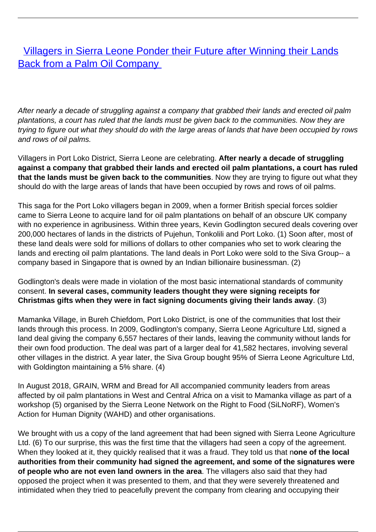**[Villagers in Sierra Leone Ponder their Future after Winning their Lands](/bulletin-articles/villagers-in-sierra-leone-ponder-their-future-after-winning-their-lands-back-from-a-palm-oil-company)** [Back from a Palm Oil Company](/bulletin-articles/villagers-in-sierra-leone-ponder-their-future-after-winning-their-lands-back-from-a-palm-oil-company)

After nearly a decade of struggling against a company that grabbed their lands and erected oil palm plantations, a court has ruled that the lands must be given back to the communities. Now they are trying to figure out what they should do with the large areas of lands that have been occupied by rows and rows of oil palms.

Villagers in Port Loko District, Sierra Leone are celebrating. **After nearly a decade of struggling against a company that grabbed their lands and erected oil palm plantations, a court has ruled that the lands must be given back to the communities**. Now they are trying to figure out what they should do with the large areas of lands that have been occupied by rows and rows of oil palms.

This saga for the Port Loko villagers began in 2009, when a former British special forces soldier came to Sierra Leone to acquire land for oil palm plantations on behalf of an obscure UK company with no experience in agribusiness. Within three years, Kevin Godlington secured deals covering over 200,000 hectares of lands in the districts of Pujehun, Tonkolili and Port Loko. (1) Soon after, most of these land deals were sold for millions of dollars to other companies who set to work clearing the lands and erecting oil palm plantations. The land deals in Port Loko were sold to the Siva Group-- a company based in Singapore that is owned by an Indian billionaire businessman. (2)

Godlington's deals were made in violation of the most basic international standards of community consent. **In several cases, community leaders thought they were signing receipts for Christmas gifts when they were in fact signing documents giving their lands away**. (3)

Mamanka Village, in Bureh Chiefdom, Port Loko District, is one of the communities that lost their lands through this process. In 2009, Godlington's company, Sierra Leone Agriculture Ltd, signed a land deal giving the company 6,557 hectares of their lands, leaving the community without lands for their own food production. The deal was part of a larger deal for 41,582 hectares, involving several other villages in the district. A year later, the Siva Group bought 95% of Sierra Leone Agriculture Ltd, with Goldington maintaining a 5% share. (4)

In August 2018, GRAIN, WRM and Bread for All accompanied community leaders from areas affected by oil palm plantations in West and Central Africa on a visit to Mamanka village as part of a workshop (5) organised by the Sierra Leone Network on the Right to Food (SiLNoRF), Women's Action for Human Dignity (WAHD) and other organisations.

We brought with us a copy of the land agreement that had been signed with Sierra Leone Agriculture Ltd. (6) To our surprise, this was the first time that the villagers had seen a copy of the agreement. When they looked at it, they quickly realised that it was a fraud. They told us that n**one of the local authorities from their community had signed the agreement, and some of the signatures were of people who are not even land owners in the area**. The villagers also said that they had opposed the project when it was presented to them, and that they were severely threatened and intimidated when they tried to peacefully prevent the company from clearing and occupying their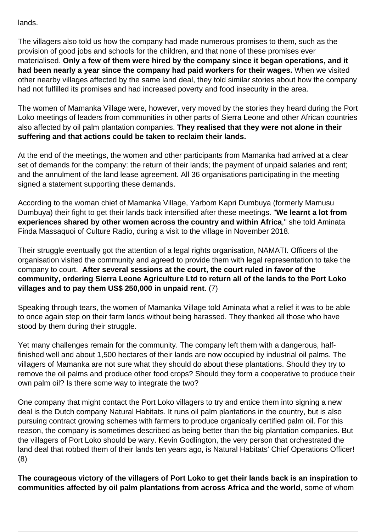lands.

The villagers also told us how the company had made numerous promises to them, such as the provision of good jobs and schools for the children, and that none of these promises ever materialised. **Only a few of them were hired by the company since it began operations, and it had been nearly a year since the company had paid workers for their wages.** When we visited other nearby villages affected by the same land deal, they told similar stories about how the company had not fulfilled its promises and had increased poverty and food insecurity in the area.

The women of Mamanka Village were, however, very moved by the stories they heard during the Port Loko meetings of leaders from communities in other parts of Sierra Leone and other African countries also affected by oil palm plantation companies. **They realised that they were not alone in their suffering and that actions could be taken to reclaim their lands.**

At the end of the meetings, the women and other participants from Mamanka had arrived at a clear set of demands for the company: the return of their lands; the payment of unpaid salaries and rent; and the annulment of the land lease agreement. All 36 organisations participating in the meeting signed a statement supporting these demands.

According to the woman chief of Mamanka Village, Yarbom Kapri Dumbuya (formerly Mamusu Dumbuya) their fight to get their lands back intensified after these meetings. "**We learnt a lot from experiences shared by other women across the country and within Africa**," she told Aminata Finda Massaquoi of Culture Radio, during a visit to the village in November 2018.

Their struggle eventually got the attention of a legal rights organisation, NAMATI. Officers of the organisation visited the community and agreed to provide them with legal representation to take the company to court. **After several sessions at the court, the court ruled in favor of the community, ordering Sierra Leone Agriculture Ltd to return all of the lands to the Port Loko villages and to pay them US\$ 250,000 in unpaid rent**. (7)

Speaking through tears, the women of Mamanka Village told Aminata what a relief it was to be able to once again step on their farm lands without being harassed. They thanked all those who have stood by them during their struggle.

Yet many challenges remain for the community. The company left them with a dangerous, halffinished well and about 1,500 hectares of their lands are now occupied by industrial oil palms. The villagers of Mamanka are not sure what they should do about these plantations. Should they try to remove the oil palms and produce other food crops? Should they form a cooperative to produce their own palm oil? Is there some way to integrate the two?

One company that might contact the Port Loko villagers to try and entice them into signing a new deal is the Dutch company Natural Habitats. It runs oil palm plantations in the country, but is also pursuing contract growing schemes with farmers to produce organically certified palm oil. For this reason, the company is sometimes described as being better than the big plantation companies. But the villagers of Port Loko should be wary. Kevin Godlington, the very person that orchestrated the land deal that robbed them of their lands ten years ago, is Natural Habitats' Chief Operations Officer! (8)

**The courageous victory of the villagers of Port Loko to get their lands back is an inspiration to communities affected by oil palm plantations from across Africa and the world**, some of whom